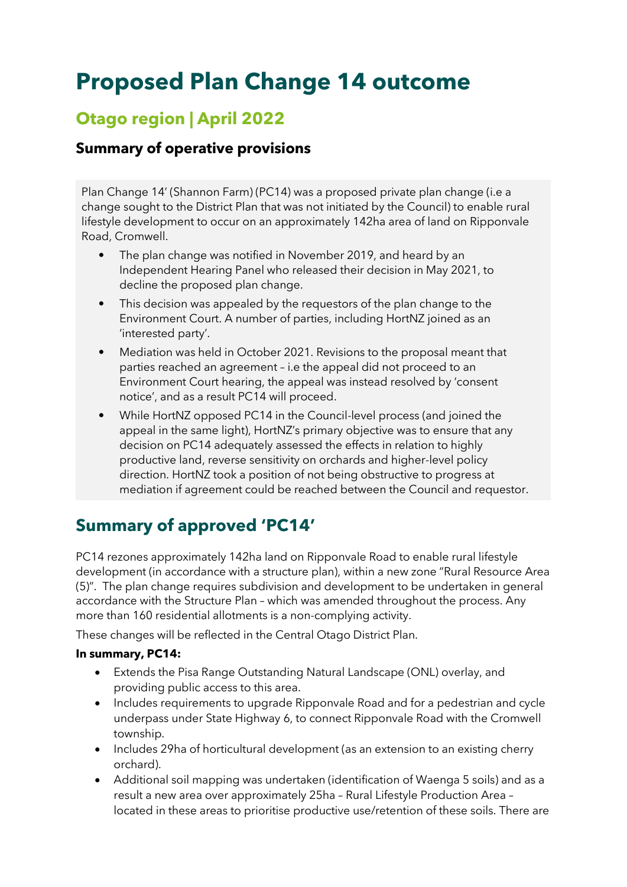# **Proposed Plan Change 14 outcome**

## **Otago region | April 2022**

### **Summary of operative provisions**

Plan Change 14' (Shannon Farm) (PC14) was a proposed private plan change (i.e a change sought to the District Plan that was not initiated by the Council) to enable rural lifestyle development to occur on an approximately 142ha area of land on Ripponvale Road, Cromwell.

- The plan change was notified in November 2019, and heard by an Independent Hearing Panel who released their decision in May 2021, to decline the proposed plan change.
- This decision was appealed by the requestors of the plan change to the Environment Court. A number of parties, including HortNZ joined as an 'interested party'.
- Mediation was held in October 2021. Revisions to the proposal meant that parties reached an agreement – i.e the appeal did not proceed to an Environment Court hearing, the appeal was instead resolved by 'consent notice', and as a result PC14 will proceed.
- While HortNZ opposed PC14 in the Council-level process (and joined the appeal in the same light), HortNZ's primary objective was to ensure that any decision on PC14 adequately assessed the effects in relation to highly productive land, reverse sensitivity on orchards and higher-level policy direction. HortNZ took a position of not being obstructive to progress at mediation if agreement could be reached between the Council and requestor.

## **Summary of approved 'PC14'**

PC14 rezones approximately 142ha land on Ripponvale Road to enable rural lifestyle development (in accordance with a structure plan), within a new zone "Rural Resource Area (5)". The plan change requires subdivision and development to be undertaken in general accordance with the Structure Plan – which was amended throughout the process. Any more than 160 residential allotments is a non-complying activity.

These changes will be reflected in the Central Otago District Plan.

#### **In summary, PC14:**

- Extends the Pisa Range Outstanding Natural Landscape (ONL) overlay, and providing public access to this area.
- Includes requirements to upgrade Ripponvale Road and for a pedestrian and cycle underpass under State Highway 6, to connect Ripponvale Road with the Cromwell township.
- Includes 29ha of horticultural development (as an extension to an existing cherry orchard).
- Additional soil mapping was undertaken (identification of Waenga 5 soils) and as a result a new area over approximately 25ha – Rural Lifestyle Production Area – located in these areas to prioritise productive use/retention of these soils. There are